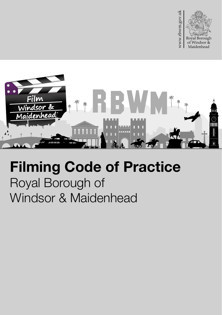



# Filming Code of Practice Royal Borough of Windsor & Maidenhead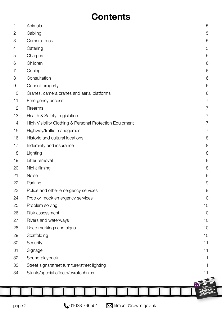# **Contents**

| 1              | Animals                                                  | 5             |
|----------------|----------------------------------------------------------|---------------|
| $\overline{2}$ | Cabling                                                  | 5             |
| 3              | Camera track                                             | 5             |
| 4              | Catering                                                 | 5             |
| 5              | Charges                                                  | 5             |
| 6              | Children                                                 | 6             |
| 7              | Coning                                                   | 6             |
| $\,8\,$        | Consultation                                             | 6             |
| 9              | Council property                                         | 6             |
| 10             | Cranes, camera cranes and aerial platforms               | 6             |
| 11             | Emergency access                                         | 7             |
| 12             | Firearms                                                 | 7             |
| 13             | Health & Safety Legislation                              | 7             |
| 14             | High Visibility Clothing & Personal Protection Equipment | 7             |
| 15             | Highway/traffic management                               | 7             |
| 16             | Historic and cultural locations                          | 8             |
| 17             | Indemnity and insurance                                  | 8             |
| 18             | Lighting                                                 | 8             |
| 19             | Litter removal                                           | 8             |
| 20             | Night filming                                            | 8             |
| 21             | Noise                                                    | 9             |
| 22             | Parking                                                  | 9             |
| 23             | Police and other emergency services                      | $\mathcal{G}$ |
| 24             | Prop or mock emergency services                          | 10            |
| 25             | Problem solving                                          | 10            |
| 26             | Risk assessment                                          | 10            |
| 27             | Rivers and waterways                                     | 10            |
| 28             | Road markings and signs                                  | 10            |
| 29             | Scaffolding                                              | 10            |
| 30             | Security                                                 | 11            |
| 31             | Signage                                                  | 11            |
| 32             | Sound playback                                           | 11            |
| 33             | Street signs/street furniture/street lighting            | 11            |
| 34             | Stunts/special effects/pyrotechnics                      | 11            |
|                |                                                          |               |
|                |                                                          |               |
|                |                                                          |               |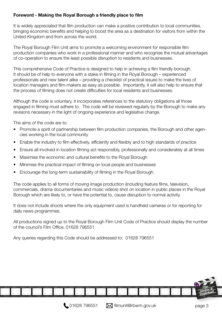#### Foreword - Making the Royal Borough a friendly place to flm

It is widely appreciated that flm production can make a positive contribution to local communities, bringing economic benefts and helping to boost the area as a destination for visitors from within the United Kingdom and from across the world.

The Royal Borough Film Unit aims to promote a welcoming environment for responsible flm production companies who work in a professional manner and who recognise the mutual advantages of co-operation to ensure the least possible disruption to residents and businesses.

This comprehensive Code of Practice is designed to help in achieving a flm friendly borough. It should be of help to everyone with a stake in flming in the Royal Borough – experienced professionals and new talent alike – providing a checklist of practical issues to make the lives of location managers and flm-makers as easy as possible. Importantly, it will also help to ensure that the process of filming does not create difficulties for local residents and businesses.

Although the code is voluntary, it incorporates references to the statutory obligations all those engaged in flming must adhere to. The code will be reviewed regularly by the Borough to make any revisions necessary in the light of ongoing experience and legislative change.

The aims of the code are to:

- Promote a spirit of partnership between flm production companies, the Borough and other agencies working in the local community
- Enable the industry to film effectively, efficiently and flexibly and to high standards of practice
- Ensure all involved in location flming act responsibly, professionally and considerately at all times
- Maximise the economic and cultural benefits to the Royal Borough
- Minimise the practical impact of flming on local people and businesses
- Encourage the long-term sustainability of flming in the Royal Borough.

The code applies to all forms of moving image production (including feature flms, television, commercials, drama documentaries and music videos) shot on location in public places in the Royal Borough which are likely to, or have the potential to, cause disruption to normal activity.

It does not include shoots where the only equipment used is handheld cameras or for reporting for daily news programmes.

All productions signed up to the Royal Borough Film Unit Code of Practice should display the number of the council's Film Office, 01628 796551

Any queries regarding this Code should be addressed to: 01628 796551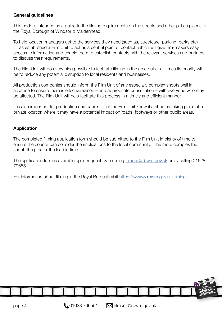#### General quidelines

This code is intended as a guide to the flming requirements on the streets and other public places of the Royal Borough of Windsor & Maidenhead.

To help location managers get to the services they need (such as, streetcare, parking, parks etc) it has established a Film Unit to act as a central point of contact, which will give flm-makers easy access to information and enable them to establish contacts with the relevant services and partners to discuss their requirements.

The Film Unit will do everything possible to facilitate flming in the area but at all times its priority will be to reduce any potential disruption to local residents and businesses.

All production companies should inform the Film Unit of any especially complex shoots well in advance to ensure there is effective liaison – and appropriate consultation – with everyone who may be affected. The Film Unit will help facilitate this process in a timely and efficient manner.

It is also important for production companies to let the Film Unit know if a shoot is taking place at a private location where it may have a potential impact on roads, footways or other public areas.

#### Application

The completed flming application form should be submitted to the Film Unit in plenty of time to ensure the council can consider the implications to the local community. The more complex the shoot, the greater the lead in time

The application form is available upon request by emailing filmunit@rbwm.gov.uk or by calling 01628 796551

For information about filming in the Royal Borough visit https://www3.rbwm.gov.uk/filming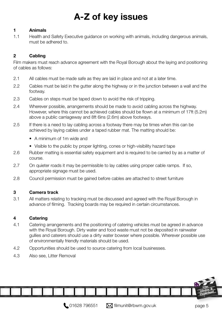# A-Z of key issues

#### <span id="page-4-0"></span>1 Animals

1.1 Health and Safety Executive guidance on working with animals, including dangerous animals, must be adhered to.

# 2 Cabling

Film makers must reach advance agreement with the Royal Borough about the laying and positioning of cables as follows:

- 2.1 All cables must be made safe as they are laid in place and not at a later time.
- 2.2 Cables must be laid in the gutter along the highway or in the junction between a wall and the footway.
- 2.3 Cables on steps must be taped down to avoid the risk of tripping.
- 2.4 Wherever possible, arrangements should be made to avoid cabling across the highway. However, where this cannot be achieved cables should be flown at a minimum of 17ft (5.2m) above a public carriageway and 8ft 6ins (2.6m) above footways.
- 2.5 If there is a need to lay cabling across a footway there may be times when this can be achieved by laying cables under a taped rubber mat. The matting should be:
	- A minimum of 1m wide and
	- Visible to the public by proper lighting, cones or high-visibility hazard tape
- 2.6 Rubber matting is essential safety equipment and is required to be carried by as a matter of course.
- 2.7 On quieter roads it may be permissible to lay cables using proper cable ramps. If so, appropriate signage must be used.
- 2.8 Council permission must be gained before cables are attached to street furniture

#### 3 Camera track

3.1 All matters relating to tracking must be discussed and agreed with the Royal Borough in advance of flming. Tracking boards may be required in certain circumstances.

#### 4 Catering

- 4.1 Catering arrangements and the positioning of catering vehicles must be agreed in advance with the Royal Borough. Dirty water and food waste must not be deposited in rainwater gullies and caterers should use a dirty water bowser where possible. Wherever possible use of environmentally friendly materials should be used.
- 4.2 Opportunities should be used to source catering from local businesses.

4.3 Also see, Litter Removal

 $\bigcup$  01628 796551  $\bigcup$  filmunit@rbwm.gov.uk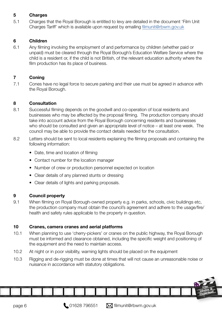#### <span id="page-5-0"></span>5 **Charges**

5.1 Charges that the Royal Borough is entitled to levy are detailed in the document 'Film Unit Charges Tariff' which is available upon request by emailing [flmunit@rbwm.gov.uk](mailto:filmunit@rbwm.gov.uk )

#### 6 Children

6.1 Any flming involving the employment of and performance by children (whether paid or unpaid) must be cleared through the Royal Borough's Education Welfare Service where the child is a resident or, if the child is not British, of the relevant education authority where the film production has its place of business.

#### 7 Coning

7.1 Cones have no legal force to secure parking and their use must be agreed in advance with the Royal Borough.

#### 8 **Consultation**

- 8.1 Successful flming depends on the goodwill and co-operation of local residents and businesses who may be affected by the proposal flming. The production company should take into account advice from the Royal Borough concerning residents and businesses who should be consulted and given an appropriate level of notice – at least one week. The council may be able to provide the contact details needed for the consultation.
- 8.2 Letters should be sent to local residents explaining the flming proposals and containing the following information:
	- Date, time and location of filming
	- Contact number for the location manager
	- Number of crew or production personnel expected on location
	- Clear details of any planned stunts or dressing
	- Clear details of lights and parking proposals.

## 9 Council property

9.1 When flming on Royal Borough-owned property e.g. in parks, schools, civic buildings etc, the production company must obtain the council's agreement and adhere to the usage/fire/ health and safety rules applicable to the property in question.

## 10 Cranes, camera cranes and aerial platforms

- 10.1 When planning to use 'cherry-pickers' or cranes on the public highway, the Royal Borough must be informed and clearance obtained, including the specifc weight and positioning of the equipment and the need to maintain access.
- 10.2 At night or in poor visibility, warning lights should be placed on the equipment

10.3 Rigging and de-rigging must be done at times that will not cause an unreasonable noise or nuisance in accordance with statutory obligations.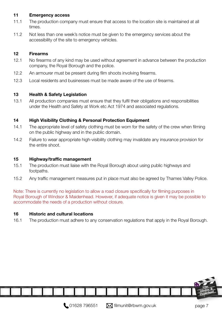#### <span id="page-6-0"></span>11 Emergency access

- 11.1 The production company must ensure that access to the location site is maintained at all times.
- 11.2 Not less than one week's notice must be given to the emergency services about the accessibility of the site to emergency vehicles.

#### 12 Firearms

- 12.1 No firearms of any kind may be used without agreement in advance between the production company, the Royal Borough and the police.
- 12.2 An armourer must be present during film shoots involving firearms.
- 12.3 Local residents and businesses must be made aware of the use of frearms.

#### 13 Health & Safety Legislation

13.1 All production companies must ensure that they fulfil their obligations and responsibilities under the Health and Safety at Work etc Act 1974 and associated regulations.

#### 14 High Visibility Clothing & Personal Protection Equipment

- 14.1 The appropriate level of safety clothing must be worn for the safety of the crew when flming on the public highway and in the public domain.
- 14.2 Failure to wear appropriate high-visibility clothing may invalidate any insurance provision for the entire shoot.

#### 15 Highway/traffic management

- 15.1 The production must liaise with the Royal Borough about using public highways and footpaths.
- 15.2 Any traffic management measures put in place must also be agreed by Thames Valley Police.

Note: There is currently no legislation to allow a road closure specifcally for flming purposes in Royal Borough of Windsor & Maidenhead. However, if adequate notice is given it may be possible to accommodate the needs of a production without closure.

#### 16 Historic and cultural locations

16.1 The production must adhere to any conservation regulations that apply in the Royal Borough.

,,,,,,,,,,,,,,,,,,,,,,,,,,,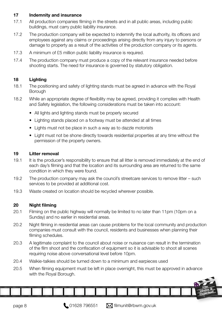#### <span id="page-7-0"></span>17 Indemnity and insurance

- 17.1 All production companies filming in the streets and in all public areas, including public buildings, must carry public liability insurance.
- 17.2 The production company will be expected to indemnify the local authority, its officers and employees against any claims or proceedings arising directly from any injury to persons or damage to property as a result of the activities of the production company or its agents.
- 17.3 A minimum of £5 million public liability insurance is required.
- 17.4 The production company must produce a copy of the relevant insurance needed before shooting starts. The need for insurance is governed by statutory obligation.

# 18 Lighting

- 18.1 The positioning and safety of lighting stands must be agreed in advance with the Royal Borough
- 18.2 While an appropriate degree of fexibility may be agreed, providing it complies with Health and Safety legislation, the following considerations must be taken into account:
	- All lights and lighting stands must be properly secured
	- Lighting stands placed on a footway must be attended at all times
	- Lights must not be place in such a way as to dazzle motorists
	- Light must not be shone directly towards residential properties at any time without the permission of the property owners.

#### 19 Litter removal

- 19.1 It is the producer's responsibility to ensure that all litter is removed immediately at the end of each day's flming and that the location and its surrounding area are returned to the same condition in which they were found.
- 19.2 The production company may ask the council's streetcare services to remove litter such services to be provided at additional cost.
- 19.3 Waste created on location should be recycled wherever possible.

## 20 Night filming

- 20.1 Filming on the public highway will normally be limited to no later than 11pm (10pm on a Sunday) and no earlier in residential areas.
- 20.2 Night flming in residential areas can cause problems for the local community and production companies must consult with the council, residents and businesses when planning their filming schedules.
- 20.3 A legitimate complaint to the council about noise or nuisance can result in the termination of the flm shoot and the confscation of equipment so it is advisable to shoot all scenes requiring noise above conversational level before 10pm.
- 20.4 Walkie-talkies should be turned down to a minimum and earpieces used

20.5 When flming equipment must be left in place overnight, this must be approved in advance with the Royal Borough.

page 8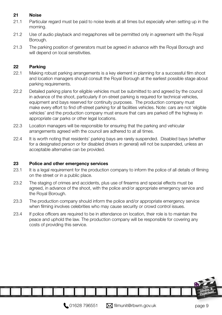#### <span id="page-8-0"></span>21 Noise

- 21.1 Particular regard must be paid to noise levels at all times but especially when setting up in the morning.
- 21.2 Use of audio playback and megaphones will be permitted only in agreement with the Royal Borough.
- 21.3 The parking position of generators must be agreed in advance with the Royal Borough and will depend on local sensitivities.

#### 22 Parking

- 22.1 Making robust parking arrangements is a key element in planning for a successful flm shoot and location managers should consult the Royal Borough at the earliest possible stage about parking requirements.
- 22.2 Detailed parking plans for eligible vehicles must be submitted to and agreed by the council in advance of the shoot, particularly if on-street parking is required for technical vehicles, equipment and bays reserved for continuity purposes. The production company must make every effort to find off-street parking for all facilities vehicles. Note: cars are not 'eligible vehicles' and the production company must ensure that cars are parked off the highway in appropriate car parks or other legal locations.
- 22.3 Location managers will be responsible for ensuring that the parking and vehicular arrangements agreed with the council are adhered to at all times.
- 22.4 It is worth noting that residents' parking bays are rarely suspended. Disabled bays (whether for a designated person or for disabled drivers in general) will not be suspended, unless an acceptable alternative can be provided.

#### 23 Police and other emergency services

- 23.1 It is a legal requirement for the production company to inform the police of all details of filming on the street or in a public place.
- 23.2 The staging of crimes and accidents, plus use of frearms and special effects must be agreed, in advance of the shoot, with the police and/or appropriate emergency service and the Royal Borough.
- 23.3 The production company should inform the police and/or appropriate emergency service when filming involves celebrities who may cause security or crowd control issues.
- 23.4 If police officers are required to be in attendance on location, their role is to maintain the peace and uphold the law. The production company will be responsible for covering any costs of providing this service.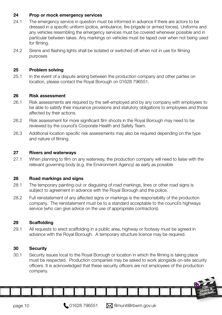#### <span id="page-9-0"></span>24 Prop or mock emergency services

- 24.1 The emergency service in question must be informed in advance if there are actors to be dressed in a specific uniform (police, ambulance, fire brigade or armed forces). Uniforms and any vehicles resembling the emergency services must be covered whenever possible and in particular between takes. Any markings on vehicles must be taped over when not being used for filming.
- 24.2 Sirens and fashing lights shall be isolated or switched off when not in use for flming purposes

#### 25 Problem solving

25.1 In the event of a dispute arising between the production company and other parties on location, please contact the Royal Borough on 01628 796551.

#### 26 Risk assessment

- 26.1 Risk assessments are required by the self-employed and by any company with employees to be able to satisfy their insurance provisions and statutory obligations to employees and those affected by their actions.
- 26.2 Risk assessment for more significant film shoots in the Royal Borough may need to be reviewed by the council's Corporate Health and Safety Team.
- 26.3 Additional location specifc risk assessments may also be required depending on the type and nature of flming.

#### 27 Rivers and waterways

27.1 When planning to film on any waterway, the production company will need to liaise with the relevant governing body (e.g. the Environment Agency) as early as possible

#### 28 Road markings and signs

- 28.1 The temporary painting-out or disguising of road markings, lines or other road signs is subject to agreement in advance with the Royal Borough and the police.
- 28.2 Full reinstatement of any affected signs or markings is the responsibility of the production company. The reinstatement must be to a standard acceptable to the council's highways service (who can give advice on the use of appropriate contractors).

#### 29 Scaffolding

29.1 All requests to erect scaffolding in a public area, highway or footway must be agreed in advance with the Royal Borough. A temporary structure licence may be required.

#### 30 Security

30.1 Security issues local to the Royal Borough or location in which the flming is taking place must be respected. Production companies may be asked to work alongside on-site security officers. It is acknowledged that these security officers are not employees of the production company.

page 10